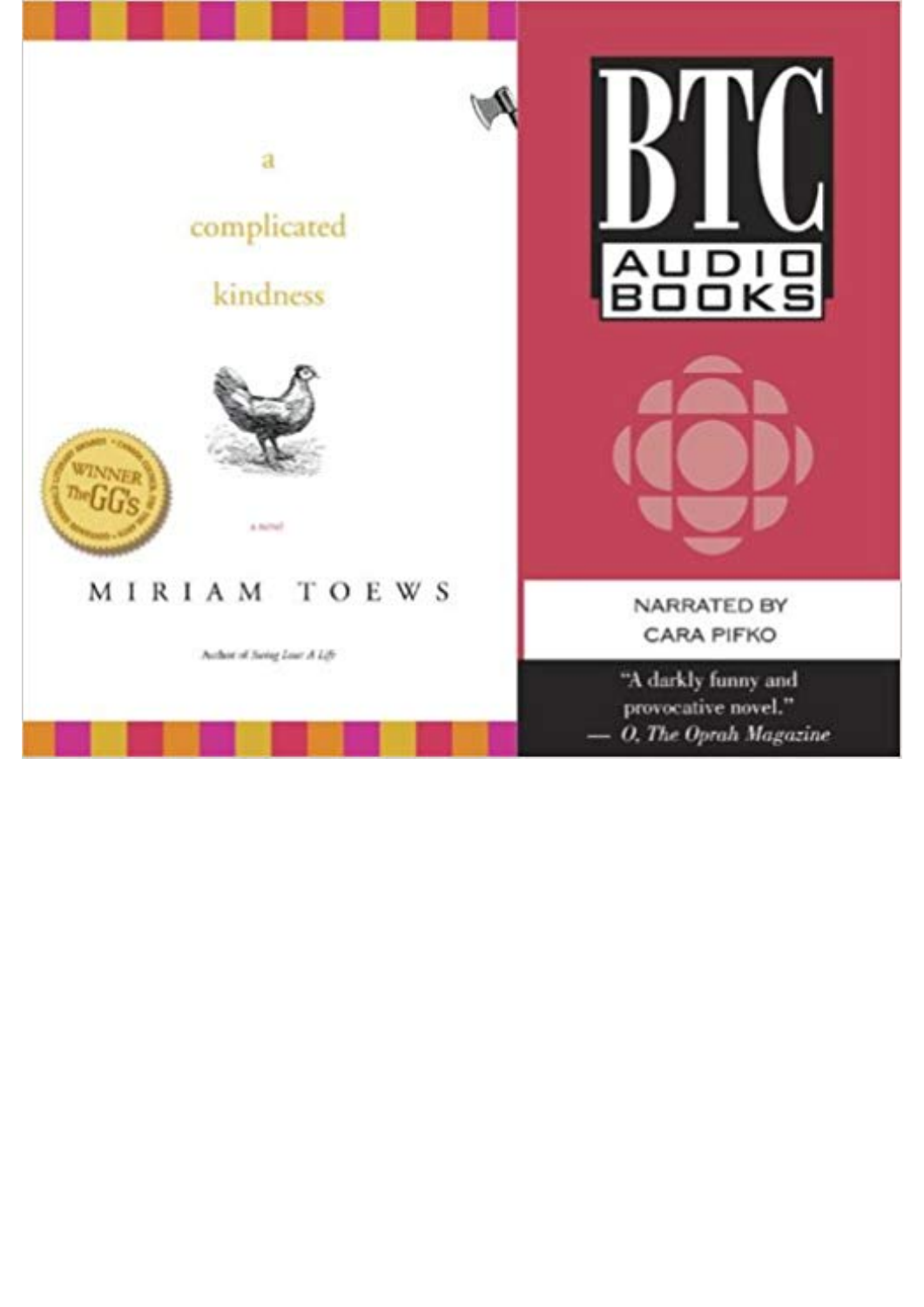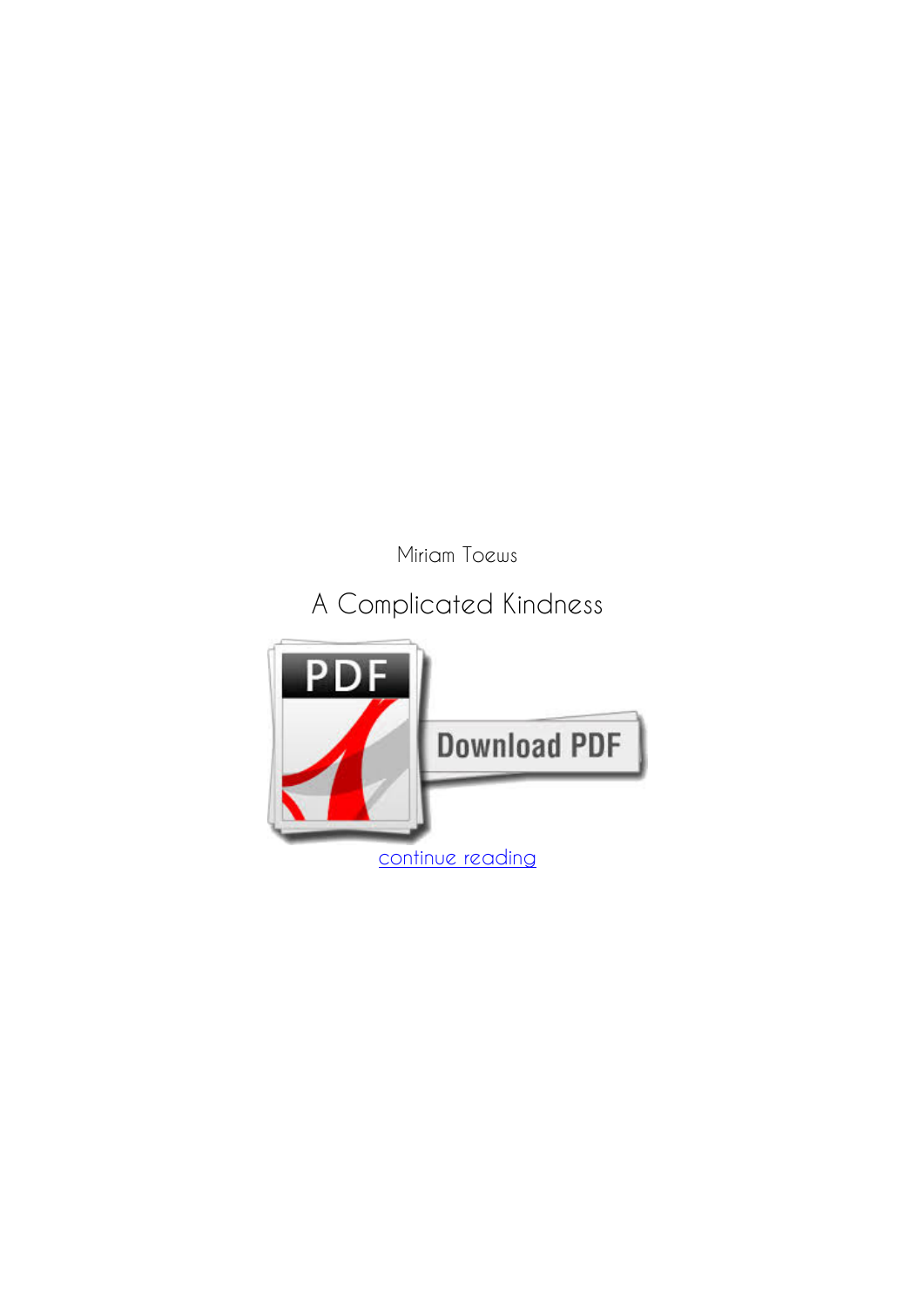*Miriam Toews*

## **A Complicated Kindness**

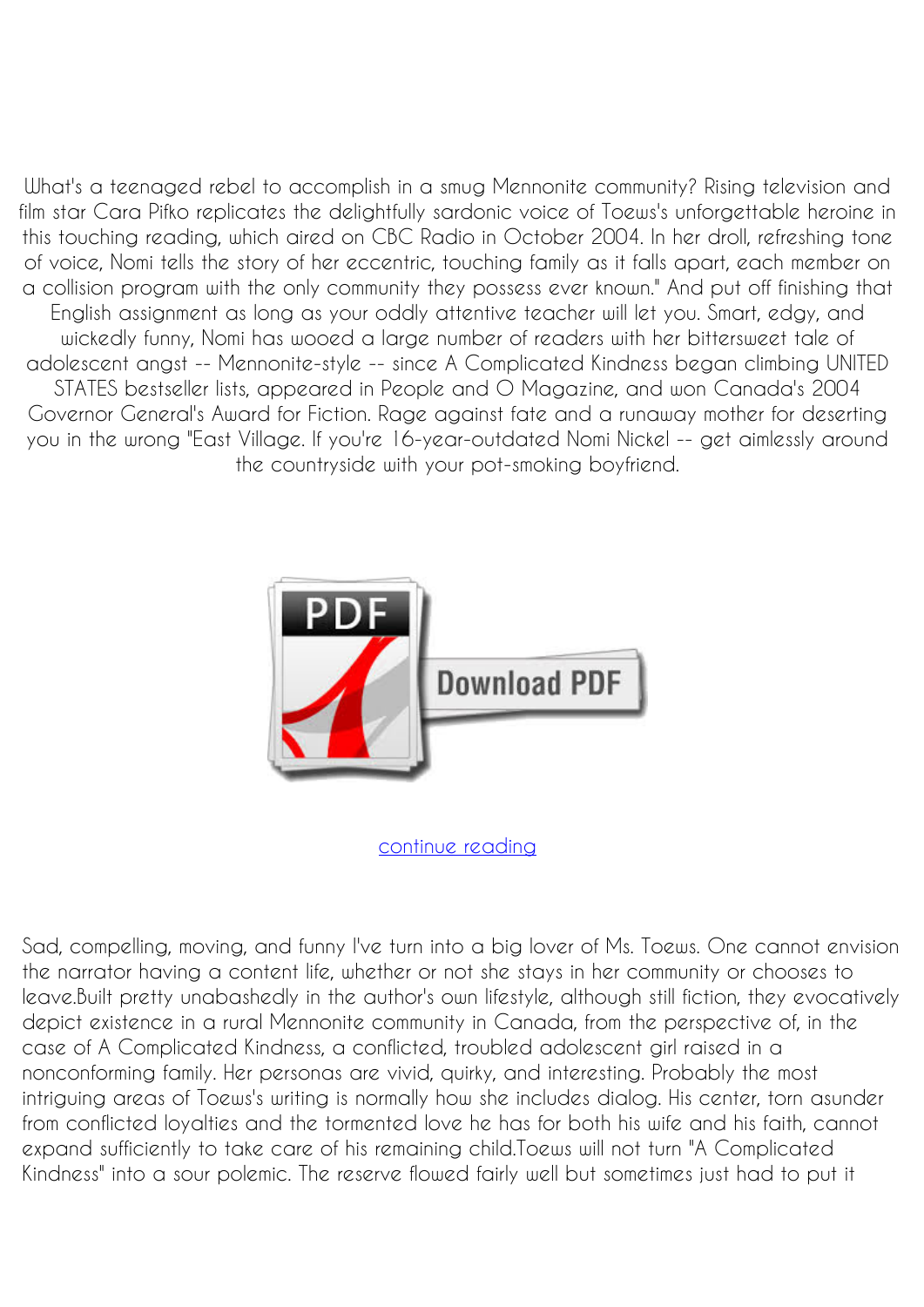What's a teenaged rebel to accomplish in a smug Mennonite community? Rising television and film star Cara Pifko replicates the delightfully sardonic voice of Toews's unforgettable heroine in this touching reading, which aired on CBC Radio in October 2004. In her droll, refreshing tone of voice, Nomi tells the story of her eccentric, touching family as it falls apart, each member on a collision program with the only community they possess ever known." And put off finishing that English assignment as long as your oddly attentive teacher will let you. Smart, edgy, and wickedly funny, Nomi has wooed a large number of readers with her bittersweet tale of adolescent angst -- Mennonite-style -- since A Complicated Kindness began climbing UNITED STATES bestseller lists, appeared in People and O Magazine, and won Canada's 2004 Governor General's Award for Fiction. Rage against fate and a runaway mother for deserting you in the wrong "East Village. If you're 16-year-outdated Nomi Nickel -- get aimlessly around the countryside with your pot-smoking boyfriend.



[continue reading](http://bit.ly/2Tge8Fv)

Sad, compelling, moving, and funny I've turn into a big lover of Ms. Toews. One cannot envision the narrator having a content life, whether or not she stays in her community or chooses to leave.Built pretty unabashedly in the author's own lifestyle, although still fiction, they evocatively depict existence in a rural Mennonite community in Canada, from the perspective of, in the case of A Complicated Kindness, a conflicted, troubled adolescent girl raised in a nonconforming family. Her personas are vivid, quirky, and interesting. Probably the most intriguing areas of Toews's writing is normally how she includes dialog. His center, torn asunder from conflicted loyalties and the tormented love he has for both his wife and his faith, cannot expand sufficiently to take care of his remaining child.Toews will not turn "A Complicated Kindness" into a sour polemic. The reserve flowed fairly well but sometimes just had to put it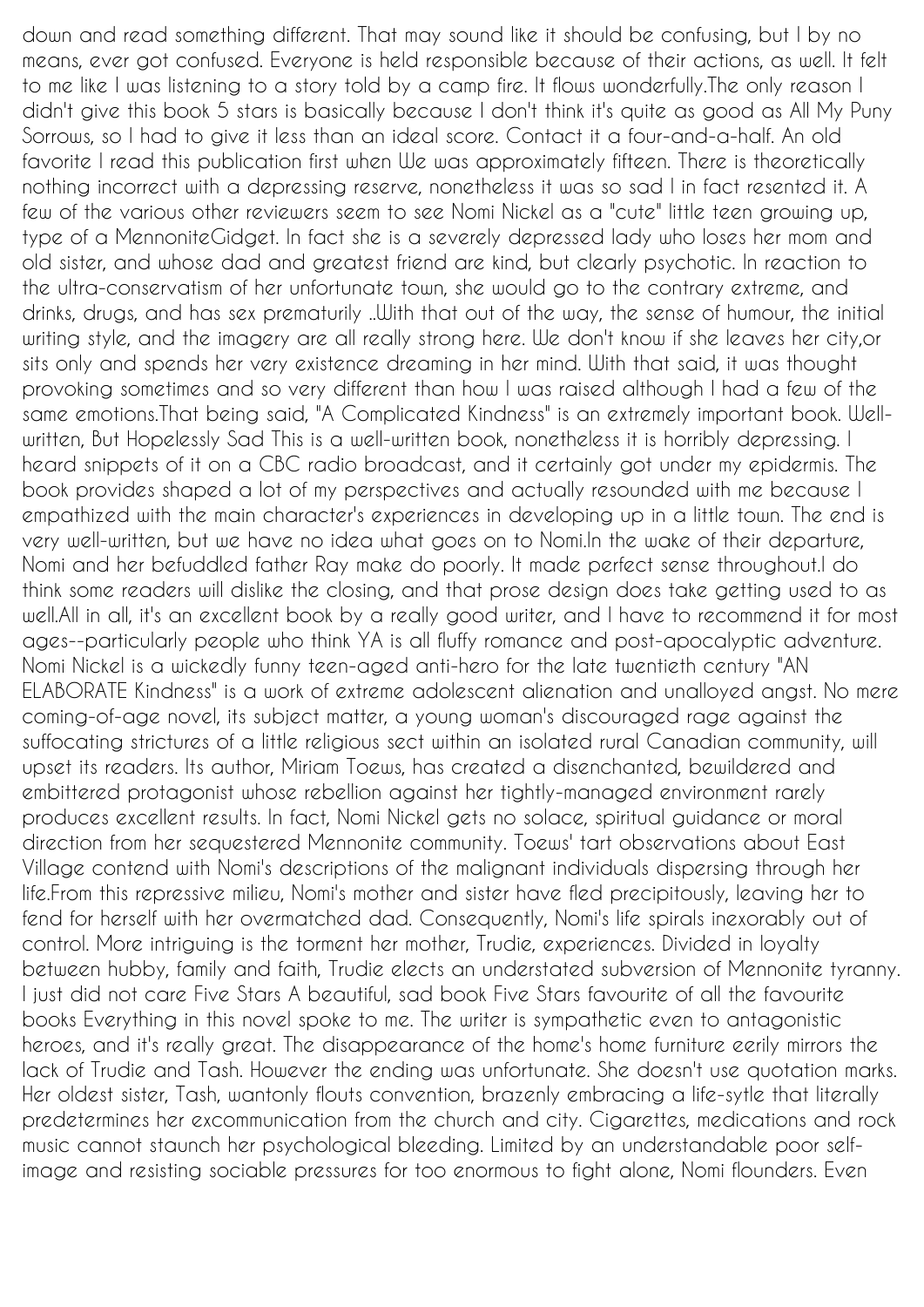down and read something different. That may sound like it should be confusing, but I by no means, ever got confused. Everyone is held responsible because of their actions, as well. It felt to me like I was listening to a story told by a camp fire. It flows wonderfully.The only reason I didn't give this book 5 stars is basically because I don't think it's quite as good as All My Puny Sorrows, so I had to give it less than an ideal score. Contact it a four-and-a-half. An old favorite I read this publication first when We was approximately fifteen. There is theoretically nothing incorrect with a depressing reserve, nonetheless it was so sad I in fact resented it. A few of the various other reviewers seem to see Nomi Nickel as a "cute" little teen growing up, type of a MennoniteGidget. In fact she is a severely depressed lady who loses her mom and old sister, and whose dad and greatest friend are kind, but clearly psychotic. In reaction to the ultra-conservatism of her unfortunate town, she would go to the contrary extreme, and drinks, drugs, and has sex prematurily ..With that out of the way, the sense of humour, the initial writing style, and the imagery are all really strong here. We don't know if she leaves her city,or sits only and spends her very existence dreaming in her mind. With that said, it was thought provoking sometimes and so very different than how I was raised although I had a few of the same emotions.That being said, "A Complicated Kindness" is an extremely important book. Wellwritten, But Hopelessly Sad This is a well-written book, nonetheless it is horribly depressing. I heard snippets of it on a CBC radio broadcast, and it certainly got under my epidermis. The book provides shaped a lot of my perspectives and actually resounded with me because I empathized with the main character's experiences in developing up in a little town. The end is very well-written, but we have no idea what goes on to Nomi.In the wake of their departure, Nomi and her befuddled father Ray make do poorly. It made perfect sense throughout.I do think some readers will dislike the closing, and that prose design does take getting used to as well.All in all, it's an excellent book by a really good writer, and I have to recommend it for most ages--particularly people who think YA is all fluffy romance and post-apocalyptic adventure. Nomi Nickel is a wickedly funny teen-aged anti-hero for the late twentieth century "AN ELABORATE Kindness" is a work of extreme adolescent alienation and unalloyed angst. No mere coming-of-age novel, its subject matter, a young woman's discouraged rage against the suffocating strictures of a little religious sect within an isolated rural Canadian community, will upset its readers. Its author, Miriam Toews, has created a disenchanted, bewildered and embittered protagonist whose rebellion against her tightly-managed environment rarely produces excellent results. In fact, Nomi Nickel gets no solace, spiritual guidance or moral direction from her sequestered Mennonite community. Toews' tart observations about East Village contend with Nomi's descriptions of the malignant individuals dispersing through her life.From this repressive milieu, Nomi's mother and sister have fled precipitously, leaving her to fend for herself with her overmatched dad. Consequently, Nomi's life spirals inexorably out of control. More intriguing is the torment her mother, Trudie, experiences. Divided in loyalty between hubby, family and faith, Trudie elects an understated subversion of Mennonite tyranny. I just did not care Five Stars A beautiful, sad book Five Stars favourite of all the favourite books Everything in this novel spoke to me. The writer is sympathetic even to antagonistic heroes, and it's really great. The disappearance of the home's home furniture eerily mirrors the lack of Trudie and Tash. However the ending was unfortunate. She doesn't use quotation marks. Her oldest sister, Tash, wantonly flouts convention, brazenly embracing a life-sytle that literally predetermines her excommunication from the church and city. Cigarettes, medications and rock music cannot staunch her psychological bleeding. Limited by an understandable poor selfimage and resisting sociable pressures for too enormous to fight alone, Nomi flounders. Even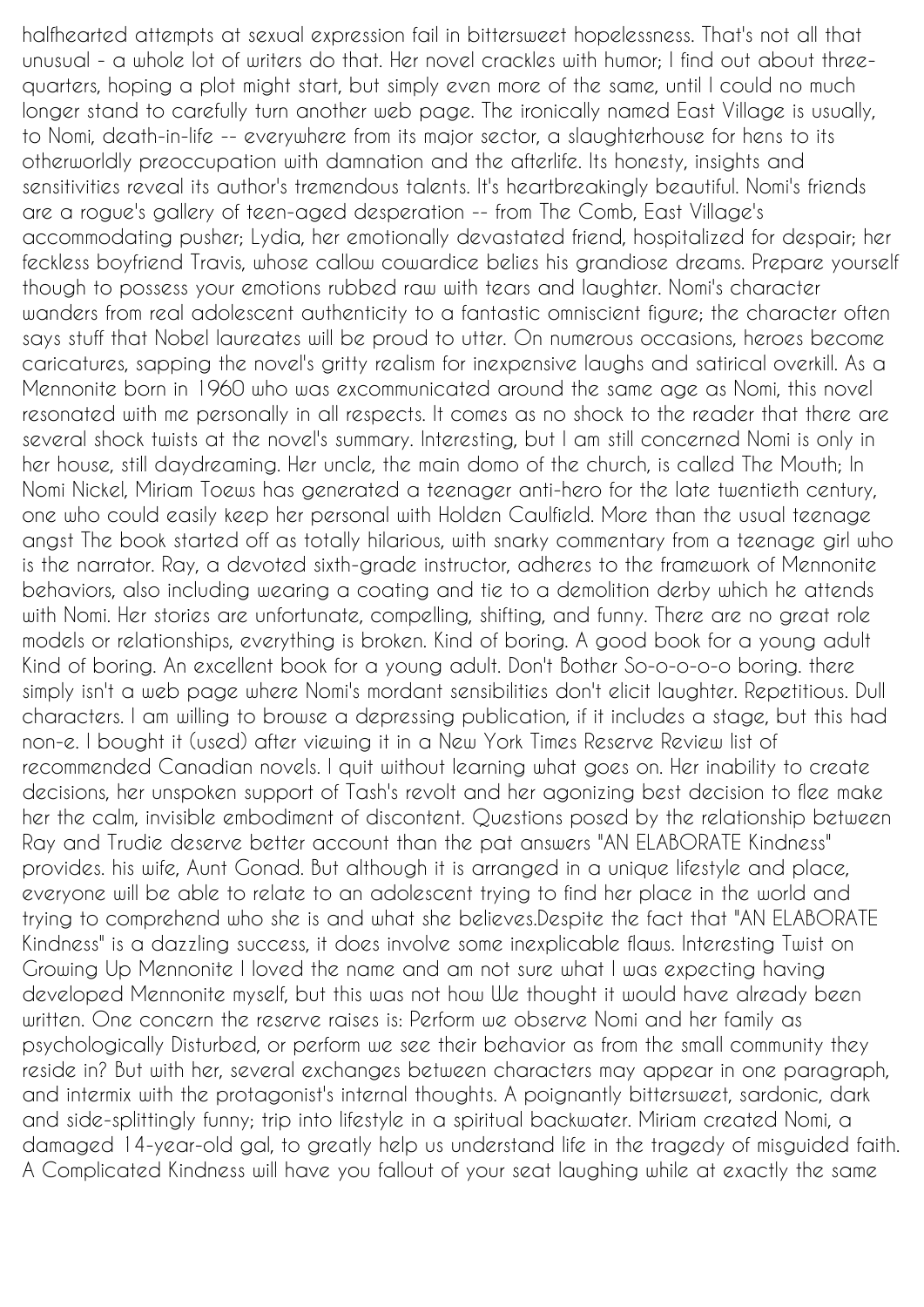halfhearted attempts at sexual expression fail in bittersweet hopelessness. That's not all that unusual - a whole lot of writers do that. Her novel crackles with humor; I find out about threequarters, hoping a plot might start, but simply even more of the same, until I could no much longer stand to carefully turn another web page. The ironically named East Village is usually, to Nomi, death-in-life -- everywhere from its major sector, a slaughterhouse for hens to its otherworldly preoccupation with damnation and the afterlife. Its honesty, insights and sensitivities reveal its author's tremendous talents. It's heartbreakingly beautiful. Nomi's friends are a rogue's gallery of teen-aged desperation -- from The Comb, East Village's accommodating pusher; Lydia, her emotionally devastated friend, hospitalized for despair; her feckless boyfriend Travis, whose callow cowardice belies his grandiose dreams. Prepare yourself though to possess your emotions rubbed raw with tears and laughter. Nomi's character wanders from real adolescent authenticity to a fantastic omniscient figure; the character often says stuff that Nobel laureates will be proud to utter. On numerous occasions, heroes become caricatures, sapping the novel's gritty realism for inexpensive laughs and satirical overkill. As a Mennonite born in 1960 who was excommunicated around the same age as Nomi, this novel resonated with me personally in all respects. It comes as no shock to the reader that there are several shock twists at the novel's summary. Interesting, but I am still concerned Nomi is only in her house, still daydreaming. Her uncle, the main domo of the church, is called The Mouth; In Nomi Nickel, Miriam Toews has generated a teenager anti-hero for the late twentieth century, one who could easily keep her personal with Holden Caulfield. More than the usual teenage angst The book started off as totally hilarious, with snarky commentary from a teenage girl who is the narrator. Ray, a devoted sixth-grade instructor, adheres to the framework of Mennonite behaviors, also including wearing a coating and tie to a demolition derby which he attends with Nomi. Her stories are unfortunate, compelling, shifting, and funny. There are no great role models or relationships, everything is broken. Kind of boring. A good book for a young adult Kind of boring. An excellent book for a young adult. Don't Bother So-o-o-o-o boring. there simply isn't a web page where Nomi's mordant sensibilities don't elicit laughter. Repetitious. Dull characters. I am willing to browse a depressing publication, if it includes a stage, but this had non-e. I bought it (used) after viewing it in a New York Times Reserve Review list of recommended Canadian novels. I quit without learning what goes on. Her inability to create decisions, her unspoken support of Tash's revolt and her agonizing best decision to flee make her the calm, invisible embodiment of discontent. Questions posed by the relationship between Ray and Trudie deserve better account than the pat answers "AN ELABORATE Kindness" provides. his wife, Aunt Gonad. But although it is arranged in a unique lifestyle and place, everyone will be able to relate to an adolescent trying to find her place in the world and trying to comprehend who she is and what she believes.Despite the fact that "AN ELABORATE Kindness" is a dazzling success, it does involve some inexplicable flaws. Interesting Twist on Growing Up Mennonite I loved the name and am not sure what I was expecting having developed Mennonite myself, but this was not how We thought it would have already been written. One concern the reserve raises is: Perform we observe Nomi and her family as psychologically Disturbed, or perform we see their behavior as from the small community they reside in? But with her, several exchanges between characters may appear in one paragraph, and intermix with the protagonist's internal thoughts. A poignantly bittersweet, sardonic, dark and side-splittingly funny; trip into lifestyle in a spiritual backwater. Miriam created Nomi, a damaged 14-year-old gal, to greatly help us understand life in the tragedy of misguided faith. A Complicated Kindness will have you fallout of your seat laughing while at exactly the same